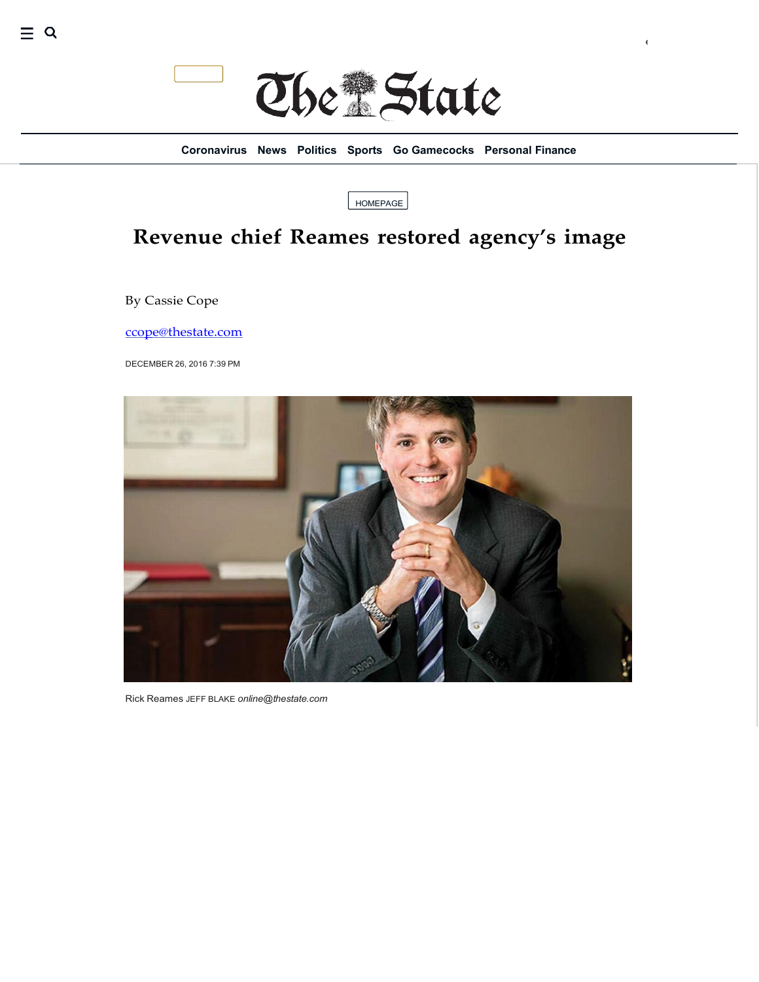

eat for Adul…

**[Coronavirus](https://www.thestate.com/news/coronavirus/#navlink%3Dnavbar) [News](https://www.thestate.com/news/#navlink%3Dnavbar) [Politics](https://www.thestate.com/news/politics-government/#navlink%3Dnavbar) [Sports](https://www.thestate.com/sports/#navlink%3Dnavbar) Go [Gamecocks](https://www.thestate.com/sports/college/university-of-south-carolina/#navlink%3Dnavbar) [Personal Finance](https://www.thestate.com/money/#navlink%3Dnavbar)**

[HOMEPAGE](https://www.thestate.com/)

## **Revenue chief Reames restored agency's image**

By Cassie Cope

 $\equiv$  Q

[ccope@thestate.com](mailto:ccope@thestate.com)

DECEMBER 26, 2016 7:39 PM



Rick Reames JEFF BLAKE *[online@thestate.com](mailto:online@thestate.com)*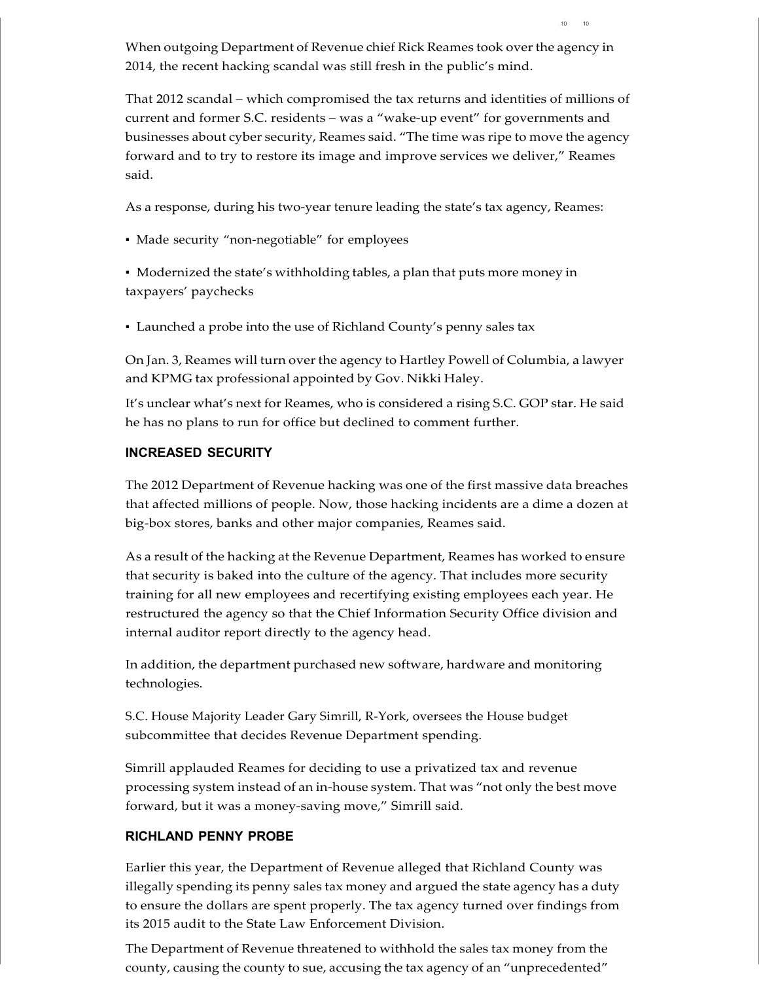When outgoing Department of Revenue chief Rick Reames took overthe agency in 2014, the recent hacking scandal was still fresh in the public's mind.

10 (10

That 2012 scandal – which compromised the tax returns and identities of millions of current and former S.C. residents – was a "wake-up event" for governments and businesses about cyber security, Reames said. "The time was ripe to move the agency forward and to try to restore its image and improve services we deliver," Reames said.

As a response, during his two-year tenure leading the state's tax agency, Reames:

▪ Made security "non-negotiable" for employees

▪ Modernized the state's withholding tables, a plan that puts more money in taxpayers' paychecks

▪ Launched a probe into the use of Richland County's penny sales tax

On Jan. 3, Reames will turn overthe agency to Hartley Powell of Columbia, a lawyer and KPMG tax professional appointed by Gov. Nikki Haley.

It's unclear what's next for Reames, who is considered a rising S.C. GOP star. He said he has no plans to run for office but declined to comment further.

## **INCREASED SECURITY**

The 2012 Department of Revenue hacking was one of the first massive data breaches that affected millions of people. Now, those hacking incidents are a dime a dozen at big-box stores, banks and other major companies, Reames said.

As a result of the hacking at the Revenue Department, Reames has worked to ensure that security is baked into the culture of the agency. That includes more security training for all new employees and recertifying existing employees each year. He restructured the agency so that the Chief Information Security Office division and internal auditor report directly to the agency head.

In addition, the department purchased new software, hardware and monitoring technologies.

S.C. House Majority Leader Gary Simrill, R-York, oversees the House budget subcommittee that decides Revenue Department spending.

Simrill applauded Reames for deciding to use a privatized tax and revenue processing system instead of an in-house system. That was "not only the best move forward, but it was a money-saving move," Simrill said.

## **RICHLAND PENNY PROBE**

Earlier this year, the Department of Revenue alleged that Richland County was illegally spending its penny sales tax money and argued the state agency has a duty to ensure the dollars are spent properly. The tax agency turned over findings from its 2015 audit to the State Law Enforcement Division.

The Department of Revenue threatened to withhold the sales tax money from the county, causing the county to sue, accusing the tax agency of an "unprecedented"